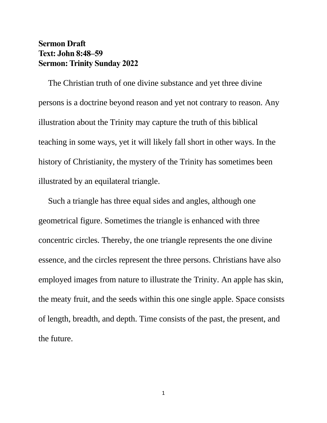## **Sermon Draft Text: John 8:48–59 Sermon: Trinity Sunday 2022**

The Christian truth of one divine substance and yet three divine persons is a doctrine beyond reason and yet not contrary to reason. Any illustration about the Trinity may capture the truth of this biblical teaching in some ways, yet it will likely fall short in other ways. In the history of Christianity, the mystery of the Trinity has sometimes been illustrated by an equilateral triangle.

Such a triangle has three equal sides and angles, although one geometrical figure. Sometimes the triangle is enhanced with three concentric circles. Thereby, the one triangle represents the one divine essence, and the circles represent the three persons. Christians have also employed images from nature to illustrate the Trinity. An apple has skin, the meaty fruit, and the seeds within this one single apple. Space consists of length, breadth, and depth. Time consists of the past, the present, and the future.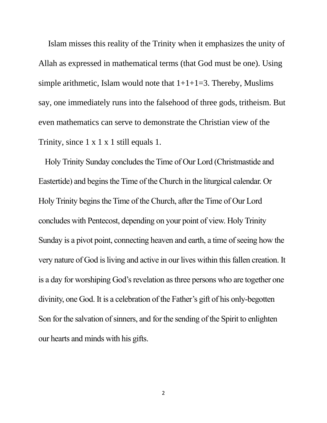Islam misses this reality of the Trinity when it emphasizes the unity of Allah as expressed in mathematical terms (that God must be one). Using simple arithmetic, Islam would note that  $1+1+1=3$ . Thereby, Muslims say, one immediately runs into the falsehood of three gods, tritheism. But even mathematics can serve to demonstrate the Christian view of the Trinity, since 1 x 1 x 1 still equals 1.

Holy Trinity Sunday concludes the Time of Our Lord (Christmastide and Eastertide) and begins the Time of the Church in the liturgical calendar. Or Holy Trinity begins the Time of the Church, after the Time of Our Lord concludes with Pentecost, depending on your point of view. Holy Trinity Sunday is a pivot point, connecting heaven and earth, a time of seeing how the very nature of God is living and active in our lives within this fallen creation. It is a day for worshiping God's revelation as three persons who are together one divinity, one God. It is a celebration of the Father's gift of his only-begotten Son for the salvation of sinners, and for the sending of the Spirit to enlighten our hearts and minds with his gifts.

2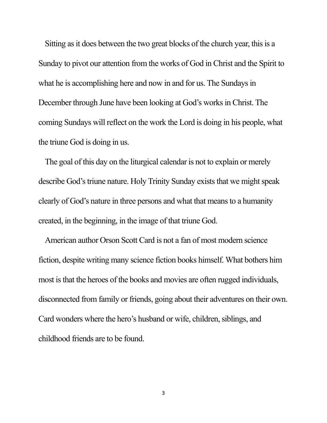Sitting as it does between the two great blocks of the church year, this is a Sunday to pivot our attention from the works of God in Christ and the Spirit to what he is accomplishing here and now in and for us. The Sundays in December through June have been looking at God's works in Christ. The coming Sundays will reflect on the work the Lord is doing in his people, what the triune God is doing in us.

The goal of this day on the liturgical calendar is not to explain or merely describe God's triune nature. Holy Trinity Sunday exists that we might speak clearly of God's nature in three persons and what that means to a humanity created, in the beginning, in the image of that triune God.

American author Orson Scott Card is not a fan of most modern science fiction, despite writing many science fiction books himself. What bothers him most is that the heroes of the books and movies are often rugged individuals, disconnected from family or friends, going about their adventures on their own. Card wonders where the hero's husband or wife, children, siblings, and childhood friends are to be found.

3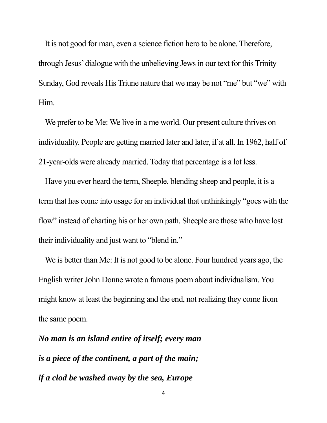It is not good for man, even a science fiction hero to be alone. Therefore, through Jesus' dialogue with the unbelieving Jews in our text for this Trinity Sunday, God reveals His Triune nature that we may be not "me" but "we" with Him.

We prefer to be Me: We live in a me world. Our present culture thrives on individuality. People are getting married later and later, if at all. In 1962, half of 21-year-olds were already married. Today that percentage is a lot less.

Have you ever heard the term, Sheeple, blending sheep and people, it is a term that has come into usage for an individual that unthinkingly "goes with the flow" instead of charting his or her own path. Sheeple are those who have lost their individuality and just want to "blend in."

We is better than Me: It is not good to be alone. Four hundred years ago, the English writer John Donne wrote a famous poem about individualism. You might know at least the beginning and the end, not realizing they come from the same poem.

*No man is an island entire of itself; every man is a piece of the continent, a part of the main; if a clod be washed away by the sea, Europe*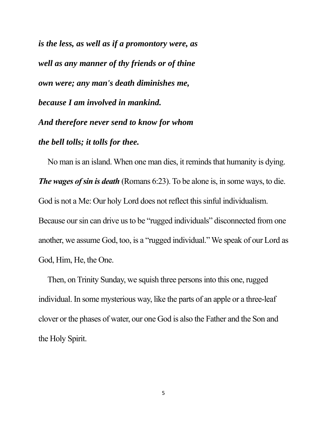*is the less, as well as if a promontory were, as well as any manner of thy friends or of thine own were; any man's death diminishes me, because I am involved in mankind. And therefore never send to know for whom the bell tolls; it tolls for thee.*

 No man is an island. When one man dies, it reminds that humanity is dying. *The wages of sin is death* (Romans 6:23). To be alone is, in some ways, to die. God is not a Me: Our holy Lord does not reflect this sinful individualism. Because our sin can drive us to be "rugged individuals" disconnected from one another, we assume God, too, is a "rugged individual." We speak of our Lord as God, Him, He, the One.

 Then, on Trinity Sunday, we squish three persons into this one, rugged individual. In some mysterious way, like the parts of an apple or a three-leaf clover or the phases of water, our one God is also the Father and the Son and the Holy Spirit.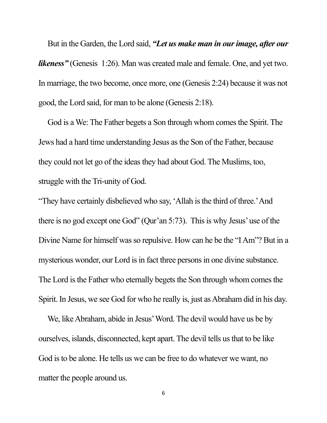But in the Garden, the Lord said, *"Let us make man in our image, after our likeness*" (Genesis 1:26). Man was created male and female. One, and yet two. In marriage, the two become, once more, one (Genesis 2:24) because it was not good, the Lord said, for man to be alone (Genesis 2:18).

 God is a We: The Father begets a Son through whom comes the Spirit. The Jews had a hard time understanding Jesus as the Son of the Father, because they could not let go of the ideas they had about God. The Muslims, too, struggle with the Tri-unity of God.

"They have certainly disbelieved who say, 'Allah is the third of three.' And there is no god except one God" (Qur'an 5:73). This is why Jesus' use of the Divine Name for himself was so repulsive. How can he be the "I Am"? But in a mysterious wonder, our Lord is in fact three persons in one divine substance. The Lord is the Father who eternally begets the Son through whom comes the Spirit. In Jesus, we see God for who he really is, just as Abraham did in his day.

 We, like Abraham, abide in Jesus' Word. The devil would have us be by ourselves, islands, disconnected, kept apart. The devil tells us that to be like God is to be alone. He tells us we can be free to do whatever we want, no matter the people around us.